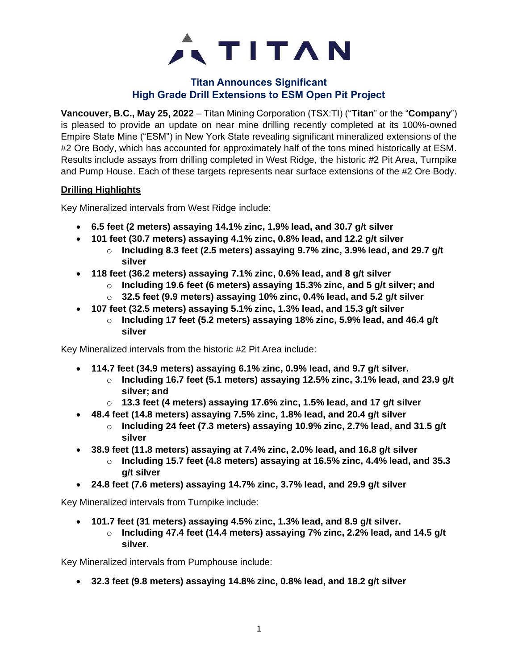

## **Titan Announces Significant High Grade Drill Extensions to ESM Open Pit Project**

**Vancouver, B.C., May 25, 2022** – Titan Mining Corporation (TSX:TI) ("**Titan**" or the "**Company**") is pleased to provide an update on near mine drilling recently completed at its 100%-owned Empire State Mine ("ESM") in New York State revealing significant mineralized extensions of the #2 Ore Body, which has accounted for approximately half of the tons mined historically at ESM. Results include assays from drilling completed in West Ridge, the historic #2 Pit Area, Turnpike and Pump House. Each of these targets represents near surface extensions of the #2 Ore Body.

#### **Drilling Highlights**

Key Mineralized intervals from West Ridge include:

- **6.5 feet (2 meters) assaying 14.1% zinc, 1.9% lead, and 30.7 g/t silver**
- **101 feet (30.7 meters) assaying 4.1% zinc, 0.8% lead, and 12.2 g/t silver**
	- o **Including 8.3 feet (2.5 meters) assaying 9.7% zinc, 3.9% lead, and 29.7 g/t silver**
- **118 feet (36.2 meters) assaying 7.1% zinc, 0.6% lead, and 8 g/t silver**
	- o **Including 19.6 feet (6 meters) assaying 15.3% zinc, and 5 g/t silver; and**
	- o **32.5 feet (9.9 meters) assaying 10% zinc, 0.4% lead, and 5.2 g/t silver**
- **107 feet (32.5 meters) assaying 5.1% zinc, 1.3% lead, and 15.3 g/t silver**
	- o **Including 17 feet (5.2 meters) assaying 18% zinc, 5.9% lead, and 46.4 g/t silver**

Key Mineralized intervals from the historic #2 Pit Area include:

- **114.7 feet (34.9 meters) assaying 6.1% zinc, 0.9% lead, and 9.7 g/t silver.**
	- o **Including 16.7 feet (5.1 meters) assaying 12.5% zinc, 3.1% lead, and 23.9 g/t silver; and**
	- o **13.3 feet (4 meters) assaying 17.6% zinc, 1.5% lead, and 17 g/t silver**
- **48.4 feet (14.8 meters) assaying 7.5% zinc, 1.8% lead, and 20.4 g/t silver**
	- o **Including 24 feet (7.3 meters) assaying 10.9% zinc, 2.7% lead, and 31.5 g/t silver**
- **38.9 feet (11.8 meters) assaying at 7.4% zinc, 2.0% lead, and 16.8 g/t silver**
	- o **Including 15.7 feet (4.8 meters) assaying at 16.5% zinc, 4.4% lead, and 35.3 g/t silver**
- **24.8 feet (7.6 meters) assaying 14.7% zinc, 3.7% lead, and 29.9 g/t silver**

Key Mineralized intervals from Turnpike include:

- **101.7 feet (31 meters) assaying 4.5% zinc, 1.3% lead, and 8.9 g/t silver.**
	- o **Including 47.4 feet (14.4 meters) assaying 7% zinc, 2.2% lead, and 14.5 g/t silver.**

Key Mineralized intervals from Pumphouse include:

• **32.3 feet (9.8 meters) assaying 14.8% zinc, 0.8% lead, and 18.2 g/t silver**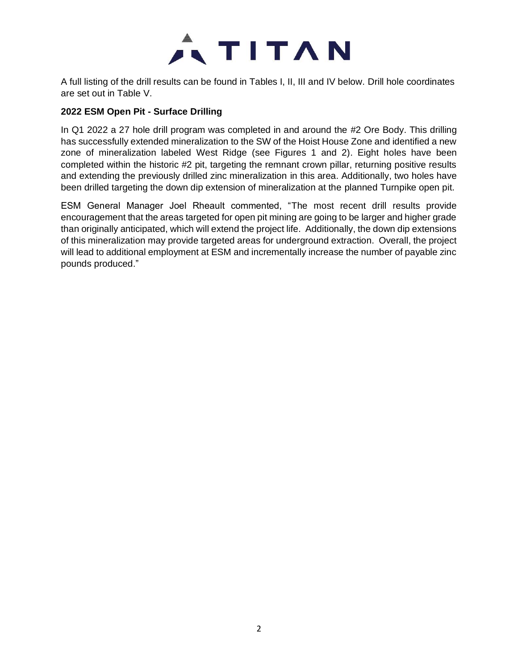

A full listing of the drill results can be found in Tables I, II, III and IV below. Drill hole coordinates are set out in Table V.

## **2022 ESM Open Pit - Surface Drilling**

In Q1 2022 a 27 hole drill program was completed in and around the #2 Ore Body. This drilling has successfully extended mineralization to the SW of the Hoist House Zone and identified a new zone of mineralization labeled West Ridge (see Figures 1 and 2). Eight holes have been completed within the historic #2 pit, targeting the remnant crown pillar, returning positive results and extending the previously drilled zinc mineralization in this area. Additionally, two holes have been drilled targeting the down dip extension of mineralization at the planned Turnpike open pit.

ESM General Manager Joel Rheault commented, "The most recent drill results provide encouragement that the areas targeted for open pit mining are going to be larger and higher grade than originally anticipated, which will extend the project life. Additionally, the down dip extensions of this mineralization may provide targeted areas for underground extraction. Overall, the project will lead to additional employment at ESM and incrementally increase the number of payable zinc pounds produced."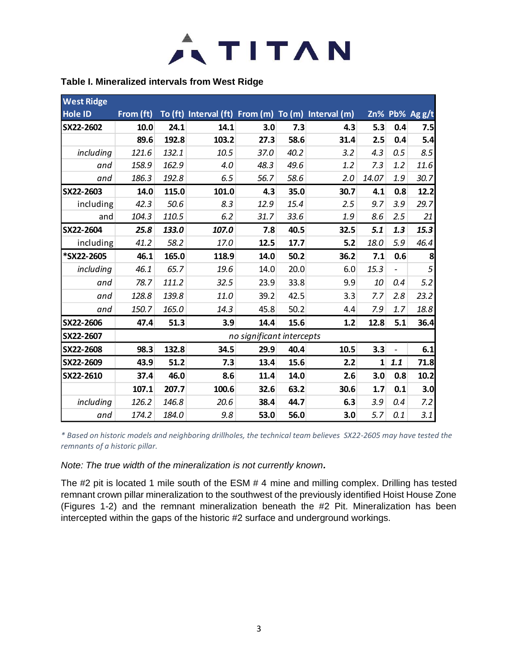

#### **Table I. Mineralized intervals from West Ridge**

| <b>West Ridge</b> |           |       |                                                    |                           |      |      |          |                |                |
|-------------------|-----------|-------|----------------------------------------------------|---------------------------|------|------|----------|----------------|----------------|
| <b>Hole ID</b>    | From (ft) |       | To (ft) Interval (ft) From (m) To (m) Interval (m) |                           |      |      |          |                | Zn% Pb% Ag g/t |
| SX22-2602         | 10.0      | 24.1  | 14.1                                               | 3.0                       | 7.3  | 4.3  | 5.3      | 0.4            | 7.5            |
|                   | 89.6      | 192.8 | 103.2                                              | 27.3                      | 58.6 | 31.4 | 2.5      | 0.4            | 5.4            |
| including         | 121.6     | 132.1 | 10.5                                               | 37.0                      | 40.2 | 3.2  | 4.3      | 0.5            | 8.5            |
| and               | 158.9     | 162.9 | 4.0                                                | 48.3                      | 49.6 | 1.2  | 7.3      | 1.2            | 11.6           |
| and               | 186.3     | 192.8 | 6.5                                                | 56.7                      | 58.6 | 2.0  | 14.07    | 1.9            | 30.7           |
| SX22-2603         | 14.0      | 115.0 | 101.0                                              | 4.3                       | 35.0 | 30.7 | 4.1      | 0.8            | 12.2           |
| including         | 42.3      | 50.6  | 8.3                                                | 12.9                      | 15.4 | 2.5  | 9.7      | 3.9            | 29.7           |
| and               | 104.3     | 110.5 | 6.2                                                | 31.7                      | 33.6 | 1.9  | 8.6      | 2.5            | 21             |
| SX22-2604         | 25.8      | 133.0 | 107.0                                              | 7.8                       | 40.5 | 32.5 | 5.1      | 1.3            | 15.3           |
| including         | 41.2      | 58.2  | 17.0                                               | 12.5                      | 17.7 | 5.2  | 18.0     | 5.9            | 46.4           |
| *SX22-2605        | 46.1      | 165.0 | 118.9                                              | 14.0                      | 50.2 | 36.2 | 7.1      | 0.6            | 8              |
| including         | 46.1      | 65.7  | 19.6                                               | 14.0                      | 20.0 | 6.0  | 15.3     | $\overline{a}$ | 5              |
| and               | 78.7      | 111.2 | 32.5                                               | 23.9                      | 33.8 | 9.9  | 10       | 0.4            | 5.2            |
| and               | 128.8     | 139.8 | 11.0                                               | 39.2                      | 42.5 | 3.3  | 7.7      | 2.8            | 23.2           |
| and               | 150.7     | 165.0 | 14.3                                               | 45.8                      | 50.2 | 4.4  | 7.9      | 1.7            | 18.8           |
| SX22-2606         | 47.4      | 51.3  | 3.9                                                | 14.4                      | 15.6 | 1.2  | 12.8     | 5.1            | 36.4           |
| SX22-2607         |           |       |                                                    | no significant intercepts |      |      |          |                |                |
| SX22-2608         | 98.3      | 132.8 | 34.5                                               | 29.9                      | 40.4 | 10.5 | 3.3      |                | 6.1            |
| SX22-2609         | 43.9      | 51.2  | 7.3                                                | 13.4                      | 15.6 | 2.2  | $1\vert$ | 1.1            | 71.8           |
| SX22-2610         | 37.4      | 46.0  | 8.6                                                | 11.4                      | 14.0 | 2.6  | 3.0      | 0.8            | 10.2           |
|                   | 107.1     | 207.7 | 100.6                                              | 32.6                      | 63.2 | 30.6 | 1.7      | 0.1            | 3.0            |
| including         | 126.2     | 146.8 | 20.6                                               | 38.4                      | 44.7 | 6.3  | 3.9      | 0.4            | 7.2            |
| and               | 174.2     | 184.0 | 9.8                                                | 53.0                      | 56.0 | 3.0  | 5.7      | 0.1            | 3.1            |

*\* Based on historic models and neighboring drillholes, the technical team believes SX22-2605 may have tested the remnants of a historic pillar.*

*Note: The true width of the mineralization is not currently known.*

The #2 pit is located 1 mile south of the ESM # 4 mine and milling complex. Drilling has tested remnant crown pillar mineralization to the southwest of the previously identified Hoist House Zone (Figures 1-2) and the remnant mineralization beneath the #2 Pit. Mineralization has been intercepted within the gaps of the historic #2 surface and underground workings.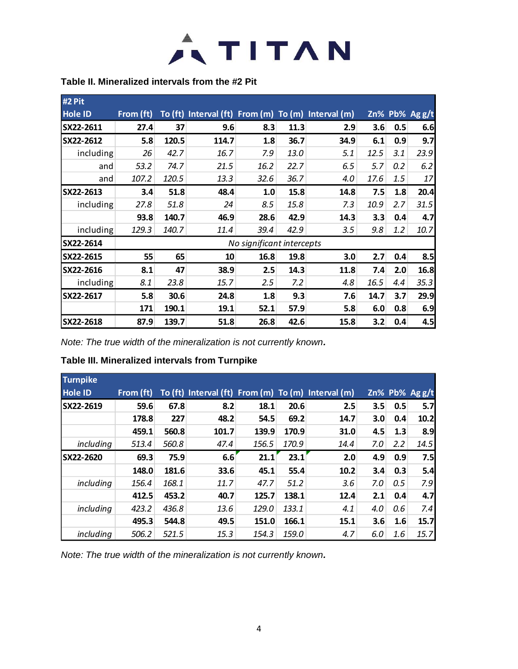

#### **Table II. Mineralized intervals from the #2 Pit**

| #2 Pit         |           |       |       |                           |      |                                                    |      |     |                |
|----------------|-----------|-------|-------|---------------------------|------|----------------------------------------------------|------|-----|----------------|
| <b>Hole ID</b> | From (ft) |       |       |                           |      | To (ft) Interval (ft) From (m) To (m) Interval (m) |      |     | Zn% Pb% Ag g/t |
| SX22-2611      | 27.4      | 37    | 9.6   | 8.3                       | 11.3 | 2.9                                                | 3.6  | 0.5 | 6.6            |
| SX22-2612      | 5.8       | 120.5 | 114.7 | 1.8                       | 36.7 | 34.9                                               | 6.1  | 0.9 | 9.7            |
| including      | 26        | 42.7  | 16.7  | 7.9                       | 13.0 | 5.1                                                | 12.5 | 3.1 | 23.9           |
| and            | 53.2      | 74.7  | 21.5  | 16.2                      | 22.7 | 6.5                                                | 5.7  | 0.2 | 6.2            |
| and            | 107.2     | 120.5 | 13.3  | 32.6                      | 36.7 | 4.0                                                | 17.6 | 1.5 | 17             |
| SX22-2613      | 3.4       | 51.8  | 48.4  | 1.0                       | 15.8 | 14.8                                               | 7.5  | 1.8 | 20.4           |
| including      | 27.8      | 51.8  | 24    | 8.5                       | 15.8 | 7.3                                                | 10.9 | 2.7 | 31.5           |
|                | 93.8      | 140.7 | 46.9  | 28.6                      | 42.9 | 14.3                                               | 3.3  | 0.4 | 4.7            |
| including      | 129.3     | 140.7 | 11.4  | 39.4                      | 42.9 | 3.5                                                | 9.8  | 1.2 | 10.7           |
| SX22-2614      |           |       |       | No significant intercepts |      |                                                    |      |     |                |
| SX22-2615      | 55        | 65    | 10    | 16.8                      | 19.8 | 3.0                                                | 2.7  | 0.4 | 8.5            |
| SX22-2616      | 8.1       | 47    | 38.9  | 2.5                       | 14.3 | 11.8                                               | 7.4  | 2.0 | 16.8           |
| including      | 8.1       | 23.8  | 15.7  | 2.5                       | 7.2  | 4.8                                                | 16.5 | 4.4 | 35.3           |
| SX22-2617      | 5.8       | 30.6  | 24.8  | 1.8                       | 9.3  | 7.6                                                | 14.7 | 3.7 | 29.9           |
|                | 171       | 190.1 | 19.1  | 52.1                      | 57.9 | 5.8                                                | 6.0  | 0.8 | 6.9            |
| SX22-2618      | 87.9      | 139.7 | 51.8  | 26.8                      | 42.6 | 15.8                                               | 3.2  | 0.4 | 4.5            |

*Note: The true width of the mineralization is not currently known.*

# **Table III. Mineralized intervals from Turnpike**

| <b>Turnpike</b>  |           |       |       |       |       |                                                    |     |     |                 |
|------------------|-----------|-------|-------|-------|-------|----------------------------------------------------|-----|-----|-----------------|
| <b>Hole ID</b>   | From (ft) |       |       |       |       | To (ft) Interval (ft) From (m) To (m) Interval (m) |     |     | Zn% Pb% $Agg/t$ |
| SX22-2619        | 59.6      | 67.8  | 8.2   | 18.1  | 20.6  | 2.5                                                | 3.5 | 0.5 | 5.7             |
|                  | 178.8     | 227   | 48.2  | 54.5  | 69.2  | 14.7                                               | 3.0 | 0.4 | 10.2            |
|                  | 459.1     | 560.8 | 101.7 | 139.9 | 170.9 | 31.0                                               | 4.5 | 1.3 | 8.9             |
| including        | 513.4     | 560.8 | 47.4  | 156.5 | 170.9 | 14.4                                               | 7.0 | 2.2 | 14.5            |
| <b>SX22-2620</b> | 69.3      | 75.9  | 6.6   | 21.1  | 23.1  | 2.0                                                | 4.9 | 0.9 | 7.5             |
|                  | 148.0     | 181.6 | 33.6  | 45.1  | 55.4  | 10.2                                               | 3.4 | 0.3 | 5.4             |
| including        | 156.4     | 168.1 | 11.7  | 47.7  | 51.2  | 3.6                                                | 7.0 | 0.5 | 7.9             |
|                  | 412.5     | 453.2 | 40.7  | 125.7 | 138.1 | 12.4                                               | 2.1 | 0.4 | 4.7             |
| including        | 423.2     | 436.8 | 13.6  | 129.0 | 133.1 | 4.1                                                | 4.0 | 0.6 | 7.4             |
|                  | 495.3     | 544.8 | 49.5  | 151.0 | 166.1 | 15.1                                               | 3.6 | 1.6 | 15.7            |
| including        | 506.2     | 521.5 | 15.3  | 154.3 | 159.0 | 4.7                                                | 6.0 | 1.6 | 15.7            |

*Note: The true width of the mineralization is not currently known.*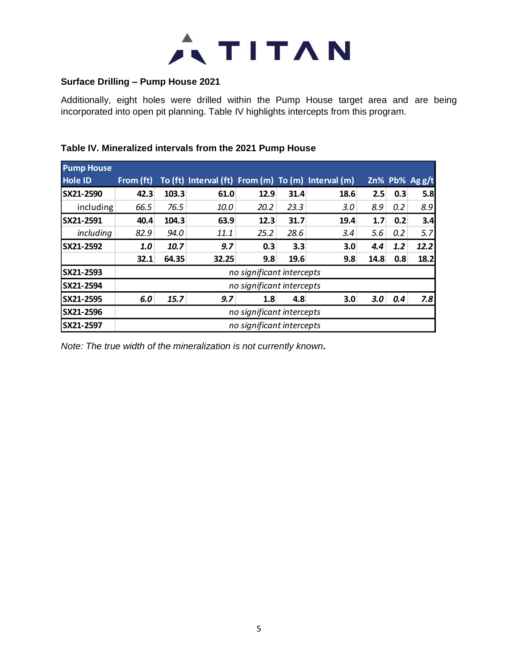

#### **Surface Drilling – Pump House 2021**

Additionally, eight holes were drilled within the Pump House target area and are being incorporated into open pit planning. Table IV highlights intercepts from this program.

| <b>Pump House</b> |                           |                           |                                                    |                           |      |      |      |     |                |
|-------------------|---------------------------|---------------------------|----------------------------------------------------|---------------------------|------|------|------|-----|----------------|
| <b>Hole ID</b>    | From (ft)                 |                           | To (ft) Interval (ft) From (m) To (m) Interval (m) |                           |      |      |      |     | Zn% Pb% Ag g/t |
| SX21-2590         | 42.3                      | 103.3                     | 61.0                                               | 12.9                      | 31.4 | 18.6 | 2.5  | 0.3 | 5.8            |
| including         | 66.5                      | 76.5                      | 10.0                                               | 20.2                      | 23.3 | 3.0  | 8.9  | 0.2 | 8.9            |
| SX21-2591         | 40.4                      | 104.3                     | 63.9                                               | 12.3                      | 31.7 | 19.4 | 1.7  | 0.2 | 3.4            |
| including         | 82.9                      | 94.0                      | 11.1                                               | 25.2                      | 28.6 | 3.4  | 5.6  | 0.2 | 5.7            |
| SX21-2592         | 1.0                       | 10.7                      | 9.7                                                | 0.3                       | 3.3  | 3.0  | 4.4  | 1.2 | 12.2           |
|                   | 32.1                      | 64.35                     | 32.25                                              | 9.8                       | 19.6 | 9.8  | 14.8 | 0.8 | 18.2           |
| SX21-2593         |                           |                           |                                                    | no significant intercepts |      |      |      |     |                |
| <b>SX21-2594</b>  |                           | no significant intercepts |                                                    |                           |      |      |      |     |                |
| SX21-2595         | 6.0                       | 15.7                      | 9.7                                                | 1.8                       | 4.8  | 3.0  | 3.0  | 0.4 | 7.8            |
| SX21-2596         | no significant intercepts |                           |                                                    |                           |      |      |      |     |                |
| <b>SX21-2597</b>  | no significant intercepts |                           |                                                    |                           |      |      |      |     |                |

## **Table IV. Mineralized intervals from the 2021 Pump House**

*Note: The true width of the mineralization is not currently known.*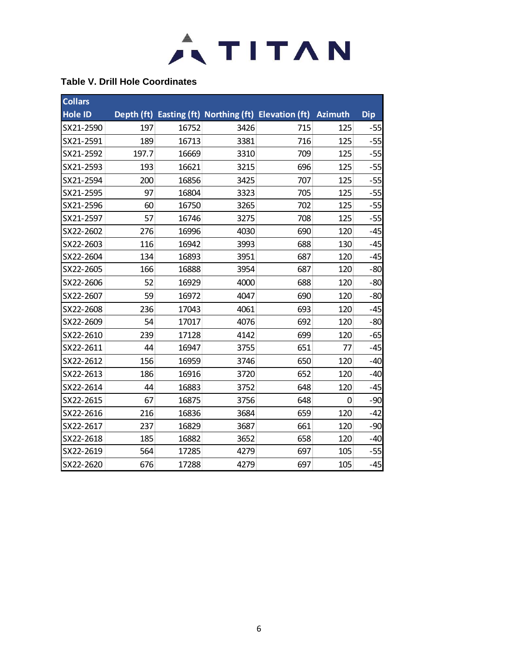

#### **Table V. Drill Hole Coordinates**

| <b>Collars</b> |       |       |      |                                                      |         |            |
|----------------|-------|-------|------|------------------------------------------------------|---------|------------|
| <b>Hole ID</b> |       |       |      | Depth (ft) Easting (ft) Northing (ft) Elevation (ft) | Azimuth | <b>Dip</b> |
| SX21-2590      | 197   | 16752 | 3426 | 715                                                  | 125     | $-55$      |
| SX21-2591      | 189   | 16713 | 3381 | 716                                                  | 125     | $-55$      |
| SX21-2592      | 197.7 | 16669 | 3310 | 709                                                  | 125     | $-55$      |
| SX21-2593      | 193   | 16621 | 3215 | 696                                                  | 125     | $-55$      |
| SX21-2594      | 200   | 16856 | 3425 | 707                                                  | 125     | $-55$      |
| SX21-2595      | 97    | 16804 | 3323 | 705                                                  | 125     | $-55$      |
| SX21-2596      | 60    | 16750 | 3265 | 702                                                  | 125     | $-55$      |
| SX21-2597      | 57    | 16746 | 3275 | 708                                                  | 125     | $-55$      |
| SX22-2602      | 276   | 16996 | 4030 | 690                                                  | 120     | $-45$      |
| SX22-2603      | 116   | 16942 | 3993 | 688                                                  | 130     | $-45$      |
| SX22-2604      | 134   | 16893 | 3951 | 687                                                  | 120     | $-45$      |
| SX22-2605      | 166   | 16888 | 3954 | 687                                                  | 120     | $-80$      |
| SX22-2606      | 52    | 16929 | 4000 | 688                                                  | 120     | $-80$      |
| SX22-2607      | 59    | 16972 | 4047 | 690                                                  | 120     | $-80$      |
| SX22-2608      | 236   | 17043 | 4061 | 693                                                  | 120     | $-45$      |
| SX22-2609      | 54    | 17017 | 4076 | 692                                                  | 120     | $-80$      |
| SX22-2610      | 239   | 17128 | 4142 | 699                                                  | 120     | $-65$      |
| SX22-2611      | 44    | 16947 | 3755 | 651                                                  | 77      | $-45$      |
| SX22-2612      | 156   | 16959 | 3746 | 650                                                  | 120     | $-40$      |
| SX22-2613      | 186   | 16916 | 3720 | 652                                                  | 120     | $-40$      |
| SX22-2614      | 44    | 16883 | 3752 | 648                                                  | 120     | $-45$      |
| SX22-2615      | 67    | 16875 | 3756 | 648                                                  | 0       | $-90$      |
| SX22-2616      | 216   | 16836 | 3684 | 659                                                  | 120     | $-42$      |
| SX22-2617      | 237   | 16829 | 3687 | 661                                                  | 120     | $-90$      |
| SX22-2618      | 185   | 16882 | 3652 | 658                                                  | 120     | $-40$      |
| SX22-2619      | 564   | 17285 | 4279 | 697                                                  | 105     | $-55$      |
| SX22-2620      | 676   | 17288 | 4279 | 697                                                  | 105     | $-45$      |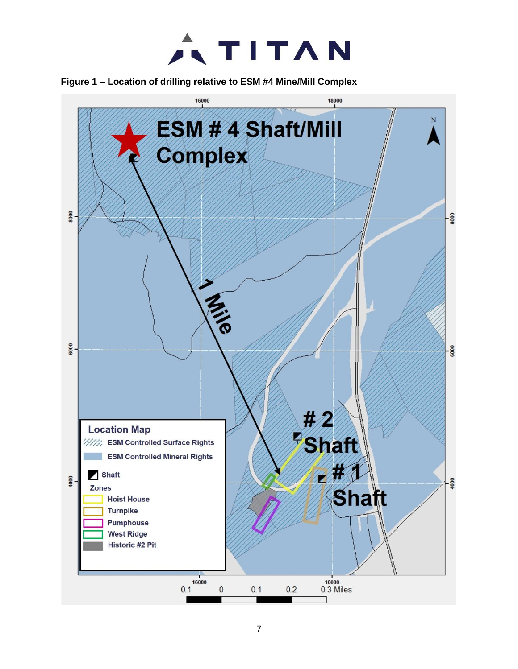

**Figure 1 – Location of drilling relative to ESM #4 Mine/Mill Complex**

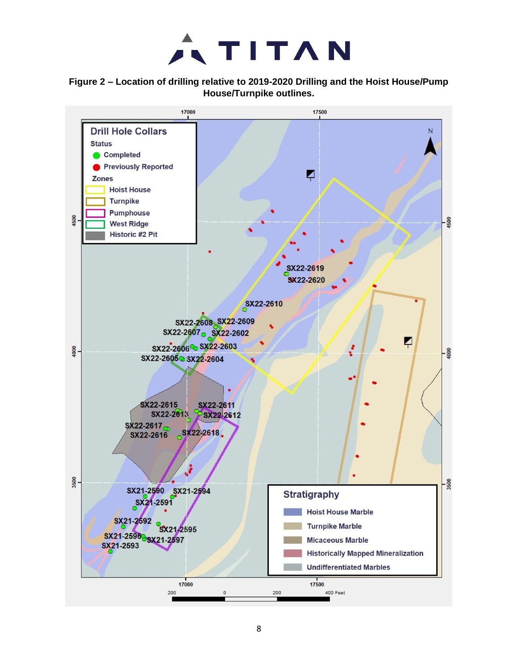# $ATITAN$

#### **Figure 2 – Location of drilling relative to 2019-2020 Drilling and the Hoist House/Pump House/Turnpike outlines.**

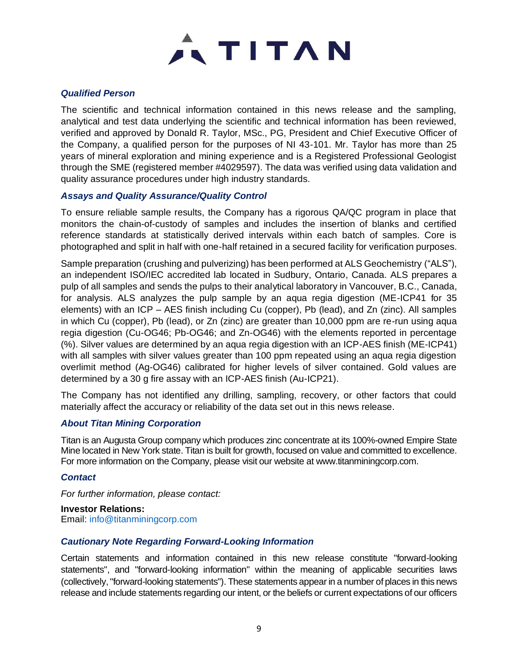

#### *Qualified Person*

The scientific and technical information contained in this news release and the sampling, analytical and test data underlying the scientific and technical information has been reviewed, verified and approved by Donald R. Taylor, MSc., PG, President and Chief Executive Officer of the Company, a qualified person for the purposes of NI 43-101. Mr. Taylor has more than 25 years of mineral exploration and mining experience and is a Registered Professional Geologist through the SME (registered member #4029597). The data was verified using data validation and quality assurance procedures under high industry standards.

#### *Assays and Quality Assurance/Quality Control*

To ensure reliable sample results, the Company has a rigorous QA/QC program in place that monitors the chain-of-custody of samples and includes the insertion of blanks and certified reference standards at statistically derived intervals within each batch of samples. Core is photographed and split in half with one-half retained in a secured facility for verification purposes.

Sample preparation (crushing and pulverizing) has been performed at ALS Geochemistry ("ALS"), an independent ISO/IEC accredited lab located in Sudbury, Ontario, Canada. ALS prepares a pulp of all samples and sends the pulps to their analytical laboratory in Vancouver, B.C., Canada, for analysis. ALS analyzes the pulp sample by an aqua regia digestion (ME-ICP41 for 35 elements) with an ICP – AES finish including Cu (copper), Pb (lead), and Zn (zinc). All samples in which Cu (copper), Pb (lead), or Zn (zinc) are greater than 10,000 ppm are re-run using aqua regia digestion (Cu-OG46; Pb-OG46; and Zn-OG46) with the elements reported in percentage (%). Silver values are determined by an aqua regia digestion with an ICP-AES finish (ME-ICP41) with all samples with silver values greater than 100 ppm repeated using an aqua regia digestion overlimit method (Ag-OG46) calibrated for higher levels of silver contained. Gold values are determined by a 30 g fire assay with an ICP-AES finish (Au-ICP21).

The Company has not identified any drilling, sampling, recovery, or other factors that could materially affect the accuracy or reliability of the data set out in this news release.

#### *About Titan Mining Corporation*

Titan is an Augusta Group company which produces zinc concentrate at its 100%-owned Empire State Mine located in New York state. Titan is built for growth, focused on value and committed to excellence. For more information on the Company, please visit our website at www.titanminingcorp.com.

#### *Contact*

*For further information, please contact:*

**Investor Relations:** Email: info@titanminingcorp.com

#### *Cautionary Note Regarding Forward-Looking Information*

Certain statements and information contained in this new release constitute "forward-looking statements", and "forward-looking information" within the meaning of applicable securities laws (collectively, "forward-looking statements"). These statements appear in a number of places in this news release and include statements regarding our intent, or the beliefs or current expectations of our officers